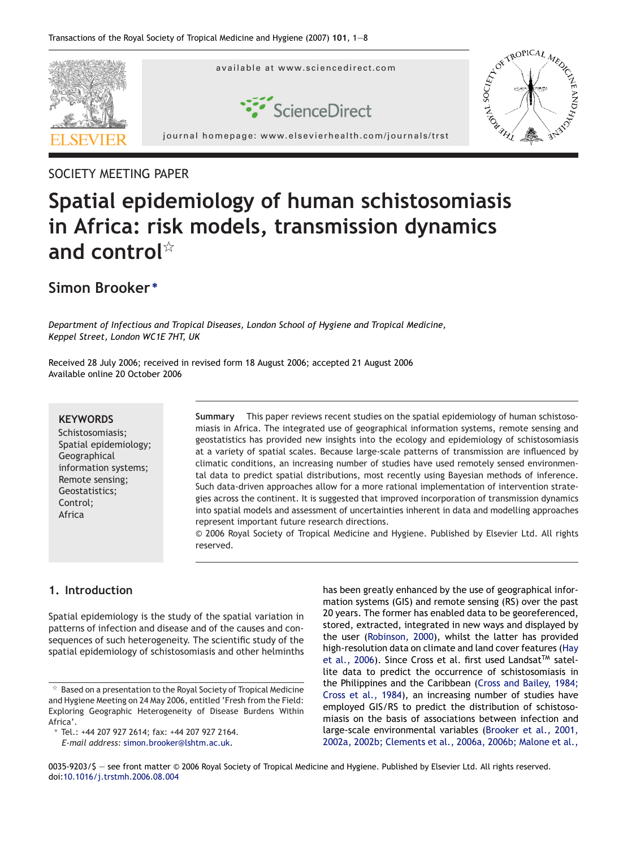

# SOCIETY MEETING PAPER

# **Spatial epidemiology of human schistosomiasis in Africa: risk models, transmission dynamics** and control<sup>\*</sup>

**Simon Brooker** [∗](#page-0-0)

*Department of Infectious and Tropical Diseases, London School of Hygiene and Tropical Medicine, Keppel Street, London WC1E 7HT, UK*

Received 28 July 2006; received in revised form 18 August 2006; accepted 21 August 2006 Available online 20 October 2006

## **KEYWORDS**

Schistosomiasis; Spatial epidemiology; Geographical information systems; Remote sensing; Geostatistics; Control; Africa

**Summary** This paper reviews recent studies on the spatial epidemiology of human schistosomiasis in Africa. The integrated use of geographical information systems, remote sensing and geostatistics has provided new insights into the ecology and epidemiology of schistosomiasis at a variety of spatial scales. Because large-scale patterns of transmission are influenced by climatic conditions, an increasing number of studies have used remotely sensed environmental data to predict spatial distributions, most recently using Bayesian methods of inference. Such data-driven approaches allow for a more rational implementation of intervention strategies across the continent. It is suggested that improved incorporation of transmission dynamics into spatial models and assessment of uncertainties inherent in data and modelling approaches represent important future research directions.

© 2006 Royal Society of Tropical Medicine and Hygiene. Published by Elsevier Ltd. All rights reserved.

## **1. Introduction**

Spatial epidemiology is the study of the spatial variation in patterns of infection and disease and of the causes and consequences of such heterogeneity. The scientific study of the spatial epidemiology of schistosomiasis and other helminths

∗ Tel.: +44 207 927 2614; fax: +44 207 927 2164.

*E-mail address:* [simon.brooker@lshtm.ac.uk](mailto:simon.brooker@lshtm.ac.uk).

has been greatly enhanced by the use of geographical information systems (GIS) and remote sensing (RS) over the past 20 years. The former has enabled data to be georeferenced, stored, extracted, integrated in new ways and displayed by the user [\(Robinson, 2000\),](#page-7-0) whilst the latter has provided high-resolution data on climate and land cover features ([Hay](#page-6-0) [et al., 2006\).](#page-6-0) Since Cross et al. first used Landsat™ satellite data to predict the occurrence of schistosomiasis in the Philippines and the Caribbean ([Cross and Bailey, 1984;](#page-6-1) [Cross et al., 1984\),](#page-6-1) an increasing number of studies have employed GIS/RS to predict the distribution of schistosomiasis on the basis of associations between infection and large-scale environmental variables ([Brooker et al., 2001,](#page-6-2) [2002a, 2002b; Clements et al., 2006a, 2006b; Malone et al.,](#page-6-2)

0035-9203/\$ — see front matter © 2006 Royal Society of Tropical Medicine and Hygiene. Published by Elsevier Ltd. All rights reserved. doi[:10.1016/j.trstmh.2006.08.004](file://localhost/Users/leorafeldstein/Downloads/dx.doi.org/10.1016/j.trstmh.2006.08.004)

<span id="page-0-0"></span> $\pi$  Based on a presentation to the Royal Society of Tropical Medicine and Hygiene Meeting on 24 May 2006, entitled 'Fresh from the Field: Exploring Geographic Heterogeneity of Disease Burdens Within Africa'.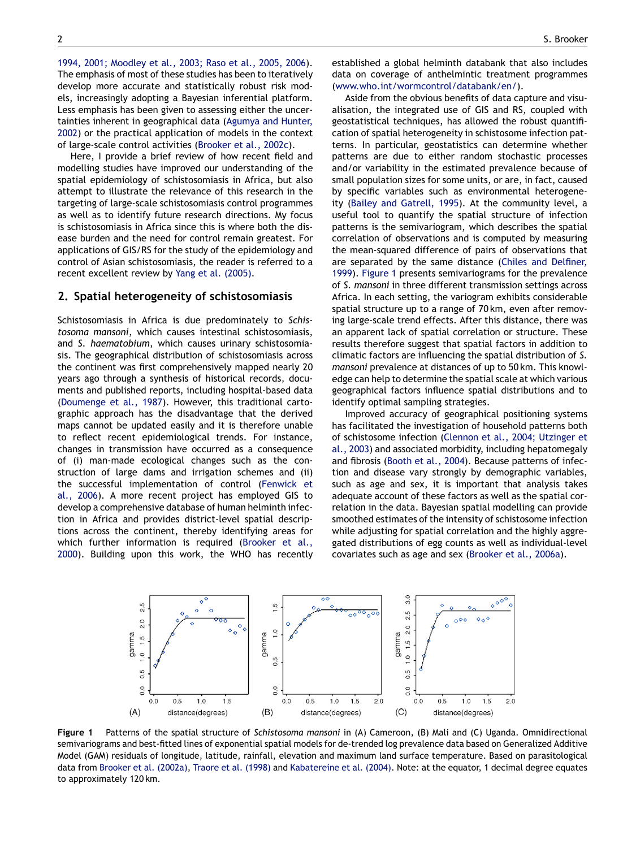[1994, 2001; Moodley et al., 2003; Raso et al., 2005, 2006\).](#page-6-2) The emphasis of most of these studies has been to iteratively develop more accurate and statistically robust risk models, increasingly adopting a Bayesian inferential platform. Less emphasis has been given to assessing either the uncertainties inherent in geographical data [\(Agumya and Hunter,](#page-5-0) [2002\)](#page-5-0) or the practical application of models in the context of large-scale control activities [\(Brooker et al., 2002c\).](#page-6-4)

Here, I provide a brief review of how recent field and modelling studies have improved our understanding of the spatial epidemiology of schistosomiasis in Africa, but also attempt to illustrate the relevance of this research in the targeting of large-scale schistosomiasis control programmes as well as to identify future research directions. My focus is schistosomiasis in Africa since this is where both the disease burden and the need for control remain greatest. For applications of GIS/RS for the study of the epidemiology and control of Asian schistosomiasis, the reader is referred to a recent excellent review by [Yang et al. \(2005\).](#page-7-1)

#### **2. Spatial heterogeneity of schistosomiasis**

Schistosomiasis in Africa is due predominately to *Schistosoma mansoni*, which causes intestinal schistosomiasis, and *S. haematobium*, which causes urinary schistosomiasis. The geographical distribution of schistosomiasis across the continent was first comprehensively mapped nearly 20 years ago through a synthesis of historical records, documents and published reports, including hospital-based data [\(Doumenge et al., 1987\).](#page-6-2) However, this traditional cartographic approach has the disadvantage that the derived maps cannot be updated easily and it is therefore unable to reflect recent epidemiological trends. For instance, changes in transmission have occurred as a consequence of (i) man-made ecological changes such as the construction of large dams and irrigation schemes and (ii) the successful implementation of control [\(Fenwick et](#page-6-5) [al., 2006\).](#page-6-5) A more recent project has employed GIS to develop a comprehensive database of human helminth infection in Africa and provides district-level spatial descriptions across the continent, thereby identifying areas for which further information is required [\(Brooker et al.,](#page-5-1) [2000\).](#page-5-1) Building upon this work, the WHO has recently

established a global helminth databank that also includes data on coverage of anthelmintic treatment programmes [\(www.who.int/wormcontrol/databank/en/\)](http://www.who.int/wormcontrol/databank/en/).

Aside from the obvious benefits of data capture and visualisation, the integrated use of GIS and RS, coupled with geostatistical techniques, has allowed the robust quantification of spatial heterogeneity in schistosome infection patterns. In particular, geostatistics can determine whether patterns are due to either random stochastic processes and/or variability in the estimated prevalence because of small population sizes for some units, or are, in fact, caused by specific variables such as environmental heterogeneity ([Bailey and Gatrell, 1995\).](#page-5-2) At the community level, a useful tool to quantify the spatial structure of infection patterns is the semivariogram, which describes the spatial correlation of observations and is computed by measuring the mean-squared difference of pairs of observations that are separated by the same distance ([Chiles and Delfiner,](#page-6-6) [1999\).](#page-6-6) [Figure 1](#page-1-0) presents semivariograms for the prevalence of *S. mansoni* in three different transmission settings across Africa. In each setting, the variogram exhibits considerable spatial structure up to a range of 70 km, even after removing large-scale trend effects. After this distance, there was an apparent lack of spatial correlation or structure. These results therefore suggest that spatial factors in addition to climatic factors are influencing the spatial distribution of *S. mansoni* prevalence at distances of up to 50 km. This knowledge can help to determine the spatial scale at which various geographical factors influence spatial distributions and to identify optimal sampling strategies.

Improved accuracy of geographical positioning systems has facilitated the investigation of household patterns both of schistosome infection ([Clennon et al., 2004; Utzinger et](#page-6-7) [al., 2003\)](#page-6-7) and associated morbidity, including hepatomegaly and fibrosis ([Booth et al., 2004\).](#page-5-3) Because patterns of infection and disease vary strongly by demographic variables, such as age and sex, it is important that analysis takes adequate account of these factors as well as the spatial correlation in the data. Bayesian spatial modelling can provide smoothed estimates of the intensity of schistosome infection while adjusting for spatial correlation and the highly aggregated distributions of egg counts as well as individual-level covariates such as age and sex [\(Brooker et al., 2006a\).](#page-6-8)

<span id="page-1-0"></span>

**Figure 1** Patterns of the spatial structure of *Schistosoma mansoni* in (A) Cameroon, (B) Mali and (C) Uganda. Omnidirectional semivariograms and best-fitted lines of exponential spatial models for de-trended log prevalence data based on Generalized Additive Model (GAM) residuals of longitude, latitude, rainfall, elevation and maximum land surface temperature. Based on parasitological data from [Brooker et al. \(2002a\),](#page-6-5) [Traore et al. \(1998\)](#page-7-2) and [Kabatereine et al. \(2004\).](#page-6-3) Note: at the equator, 1 decimal degree equates to approximately 120 km.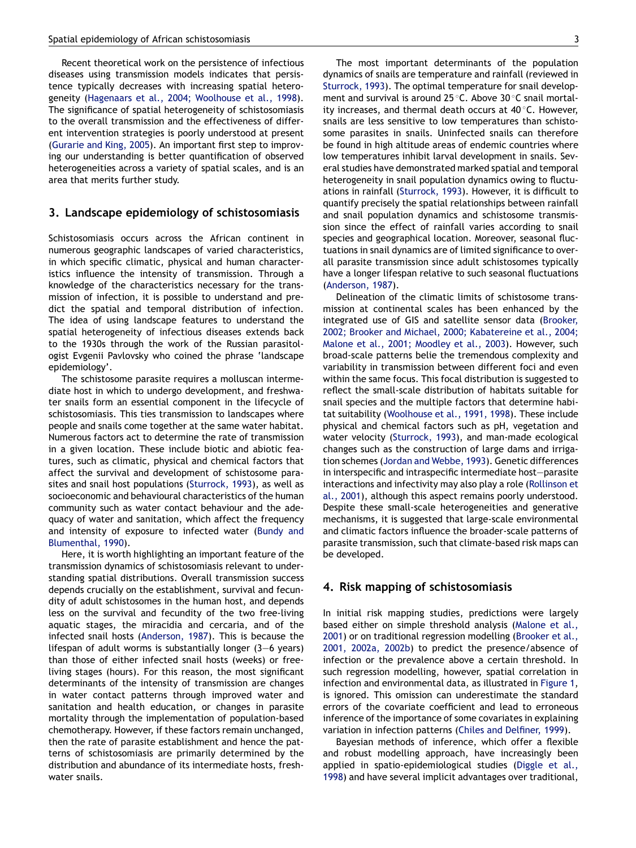Recent theoretical work on the persistence of infectious diseases using transmission models indicates that persistence typically decreases with increasing spatial heterogeneity [\(Hagenaars et al., 2004; Woolhouse et al., 1998\).](#page-6-10) The significance of spatial heterogeneity of schistosomiasis to the overall transmission and the effectiveness of different intervention strategies is poorly understood at present ([Gurarie and King, 2005\).](#page-6-11) An important first step to improving our understanding is better quantification of observed heterogeneities across a variety of spatial scales, and is an area that merits further study.

## **3. Landscape epidemiology of schistosomiasis**

Schistosomiasis occurs across the African continent in numerous geographic landscapes of varied characteristics, in which specific climatic, physical and human characteristics influence the intensity of transmission. Through a knowledge of the characteristics necessary for the transmission of infection, it is possible to understand and predict the spatial and temporal distribution of infection. The idea of using landscape features to understand the spatial heterogeneity of infectious diseases extends back to the 1930s through the work of the Russian parasitologist Evgenii Pavlovsky who coined the phrase 'landscape epidemiology'.

The schistosome parasite requires a molluscan intermediate host in which to undergo development, and freshwater snails form an essential component in the lifecycle of schistosomiasis. This ties transmission to landscapes where people and snails come together at the same water habitat. Numerous factors act to determine the rate of transmission in a given location. These include biotic and abiotic features, such as climatic, physical and chemical factors that affect the survival and development of schistosome parasites and snail host populations ([Sturrock, 1993\),](#page-7-3) as well as socioeconomic and behavioural characteristics of the human community such as water contact behaviour and the adequacy of water and sanitation, which affect the frequency and intensity of exposure to infected water ([Bundy and](#page-6-12) [Blumenthal, 1990\).](#page-6-12)

Here, it is worth highlighting an important feature of the transmission dynamics of schistosomiasis relevant to understanding spatial distributions. Overall transmission success depends crucially on the establishment, survival and fecundity of adult schistosomes in the human host, and depends less on the survival and fecundity of the two free-living aquatic stages, the miracidia and cercaria, and of the infected snail hosts [\(Anderson, 1987\).](#page-5-4) This is because the lifespan of adult worms is substantially longer (3—6 years) than those of either infected snail hosts (weeks) or freeliving stages (hours). For this reason, the most significant determinants of the intensity of transmission are changes in water contact patterns through improved water and sanitation and health education, or changes in parasite mortality through the implementation of population-based chemotherapy. However, if these factors remain unchanged, then the rate of parasite establishment and hence the patterns of schistosomiasis are primarily determined by the distribution and abundance of its intermediate hosts, freshwater snails.

The most important determinants of the population dynamics of snails are temperature and rainfall (reviewed in [Sturrock, 1993\).](#page-7-3) The optimal temperature for snail development and survival is around 25 ◦C. Above 30 ◦C snail mortality increases, and thermal death occurs at 40 ◦C. However, snails are less sensitive to low temperatures than schistosome parasites in snails. Uninfected snails can therefore be found in high altitude areas of endemic countries where low temperatures inhibit larval development in snails. Several studies have demonstrated marked spatial and temporal heterogeneity in snail population dynamics owing to fluctuations in rainfall [\(Sturrock, 1993\).](#page-7-3) However, it is difficult to quantify precisely the spatial relationships between rainfall and snail population dynamics and schistosome transmission since the effect of rainfall varies according to snail species and geographical location. Moreover, seasonal fluctuations in snail dynamics are of limited significance to overall parasite transmission since adult schistosomes typically have a longer lifespan relative to such seasonal fluctuations ([Anderson, 1987\).](#page-5-4)

Delineation of the climatic limits of schistosome transmission at continental scales has been enhanced by the integrated use of GIS and satellite sensor data ([Brooker,](#page-5-5) [2002; Brooker and Michael, 2000; Kabatereine et al., 2004;](#page-5-5) [Malone et al., 2001; Moodley et al., 2003\).](#page-5-5) However, such broad-scale patterns belie the tremendous complexity and variability in transmission between different foci and even within the same focus. This focal distribution is suggested to reflect the small-scale distribution of habitats suitable for snail species and the multiple factors that determine habitat suitability [\(Woolhouse et al., 1991, 1998\).](#page-7-4) These include physical and chemical factors such as pH, vegetation and water velocity ([Sturrock, 1993\),](#page-7-3) and man-made ecological changes such as the construction of large dams and irrigation schemes ([Jordan and Webbe, 1993\).](#page-6-12) Genetic differences in interspecific and intraspecific intermediate host—parasite interactions and infectivity may also play a role [\(Rollinson et](#page-7-5) [al., 2001\),](#page-7-5) although this aspect remains poorly understood. Despite these small-scale heterogeneities and generative mechanisms, it is suggested that large-scale environmental and climatic factors influence the broader-scale patterns of parasite transmission, such that climate-based risk maps can be developed.

#### **4. Risk mapping of schistosomiasis**

In initial risk mapping studies, predictions were largely based either on simple threshold analysis ([Malone et al.,](#page-6-13) [2001\)](#page-6-13) or on traditional regression modelling [\(Brooker et al.,](#page-6-2) [2001, 2002a, 2002b\)](#page-6-2) to predict the presence/absence of infection or the prevalence above a certain threshold. In such regression modelling, however, spatial correlation in infection and environmental data, as illustrated in [Figure 1,](#page-1-0) is ignored. This omission can underestimate the standard errors of the covariate coefficient and lead to erroneous inference of the importance of some covariates in explaining variation in infection patterns [\(Chiles and Delfiner, 1999\).](#page-6-6)

Bayesian methods of inference, which offer a flexible and robust modelling approach, have increasingly been applied in spatio-epidemiological studies ([Diggle et al.,](#page-6-9) [1998\)](#page-6-9) and have several implicit advantages over traditional,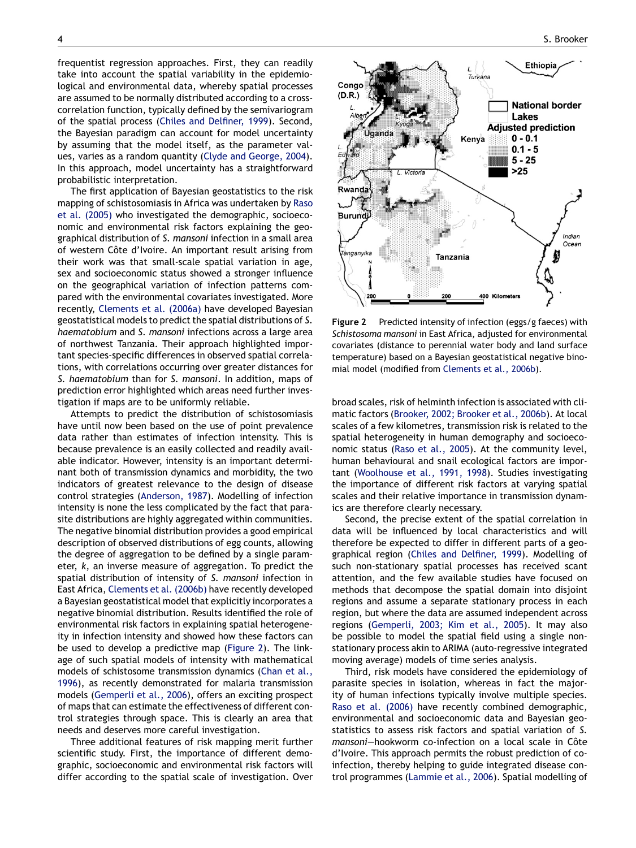<span id="page-3-0"></span>frequentist regression approaches. First, they can readily take into account the spatial variability in the epidemiological and environmental data, whereby spatial processes are assumed to be normally distributed according to a crosscorrelation function, typically defined by the semivariogram of the spatial process ([Chiles and Delfiner, 1999\).](#page-6-6) Second, the Bayesian paradigm can account for model uncertainty by assuming that the model itself, as the parameter values, varies as a random quantity ([Clyde and George, 2004\).](#page-6-15) In this approach, model uncertainty has a straightforward probabilistic interpretation.

The first application of Bayesian geostatistics to the risk mapping of schistosomiasis in Africa was undertaken by [Raso](#page-7-6) [et al. \(2005\)](#page-7-6) who investigated the demographic, socioeconomic and environmental risk factors explaining the geographical distribution of *S. mansoni* infection in a small area of western Côte d'Ivoire. An important result arising from their work was that small-scale spatial variation in age, sex and socioeconomic status showed a stronger influence on the geographical variation of infection patterns compared with the environmental covariates investigated. More recently, [Clements et al. \(2006a\)](#page-6-16) have developed Bayesian geostatistical models to predict the spatial distributions of *S. haematobium* and *S. mansoni* infections across a large area of northwest Tanzania. Their approach highlighted important species-specific differences in observed spatial correlations, with correlations occurring over greater distances for *S. haematobium* than for *S. mansoni*. In addition, maps of prediction error highlighted which areas need further investigation if maps are to be uniformly reliable.

Attempts to predict the distribution of schistosomiasis have until now been based on the use of point prevalence data rather than estimates of infection intensity. This is because prevalence is an easily collected and readily available indicator. However, intensity is an important determinant both of transmission dynamics and morbidity, the two indicators of greatest relevance to the design of disease control strategies ([Anderson, 1987\).](#page-5-4) Modelling of infection intensity is none the less complicated by the fact that parasite distributions are highly aggregated within communities. The negative binomial distribution provides a good empirical description of observed distributions of egg counts, allowing the degree of aggregation to be defined by a single parameter, *k*, an inverse measure of aggregation. To predict the spatial distribution of intensity of *S. mansoni* infection in East Africa, [Clements et al. \(2006b\)](#page-6-17) have recently developed a Bayesian geostatistical model that explicitly incorporates a negative binomial distribution. Results identified the role of environmental risk factors in explaining spatial heterogeneity in infection intensity and showed how these factors can be used to develop a predictive map [\(Figure 2\).](#page-3-0) The linkage of such spatial models of intensity with mathematical models of schistosome transmission dynamics ([Chan et al.,](#page-6-18) [1996\),](#page-6-18) as recently demonstrated for malaria transmission models [\(Gemperli et al., 2006\),](#page-6-19) offers an exciting prospect of maps that can estimate the effectiveness of different control strategies through space. This is clearly an area that needs and deserves more careful investigation.

Three additional features of risk mapping merit further scientific study. First, the importance of different demographic, socioeconomic and environmental risk factors will differ according to the spatial scale of investigation. Over



**Figure 2** Predicted intensity of infection (eggs/g faeces) with *Schistosoma mansoni* in East Africa, adjusted for environmental covariates (distance to perennial water body and land surface temperature) based on a Bayesian geostatistical negative binomial model (modified from [Clements et al., 2006b\).](#page-6-17)

broad scales, risk of helminth infection is associated with climatic factors ([Brooker, 2002; Brooker et al., 2006b\).](#page-5-5) At local scales of a few kilometres, transmission risk is related to the spatial heterogeneity in human demography and socioeconomic status [\(Raso et al., 2005\).](#page-7-6) At the community level, human behavioural and snail ecological factors are important ([Woolhouse et al., 1991, 1998\).](#page-7-4) Studies investigating the importance of different risk factors at varying spatial scales and their relative importance in transmission dynamics are therefore clearly necessary.

Second, the precise extent of the spatial correlation in data will be influenced by local characteristics and will therefore be expected to differ in different parts of a geographical region ([Chiles and Delfiner, 1999\).](#page-6-6) Modelling of such non-stationary spatial processes has received scant attention, and the few available studies have focused on methods that decompose the spatial domain into disjoint regions and assume a separate stationary process in each region, but where the data are assumed independent across regions ([Gemperli, 2003; Kim et al., 2005\).](#page-6-20) It may also be possible to model the spatial field using a single nonstationary process akin to ARIMA (auto-regressive integrated moving average) models of time series analysis.

Third, risk models have considered the epidemiology of parasite species in isolation, whereas in fact the majority of human infections typically involve multiple species. [Raso et al. \(2006\)](#page-7-7) have recently combined demographic, environmental and socioeconomic data and Bayesian geostatistics to assess risk factors and spatial variation of *S. mansoni*—hookworm co-infection on a local scale in Côte d'Ivoire. This approach permits the robust prediction of coinfection, thereby helping to guide integrated disease control programmes ([Lammie et al., 2006\).](#page-6-14) Spatial modelling of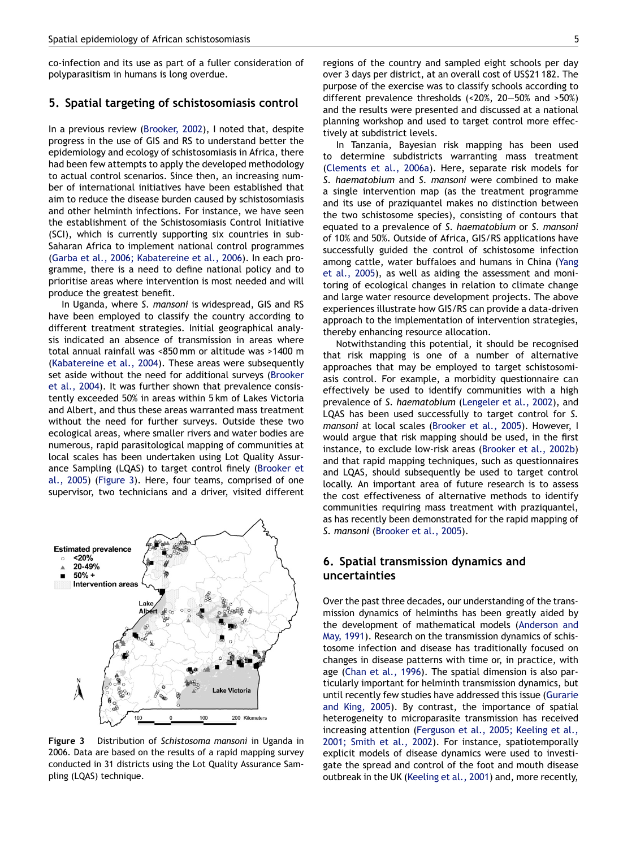co-infection and its use as part of a fuller consideration of polyparasitism in humans is long overdue.

### **5. Spatial targeting of schistosomiasis control**

In a previous review ([Brooker, 2002\),](#page-5-5) I noted that, despite progress in the use of GIS and RS to understand better the epidemiology and ecology of schistosomiasis in Africa, there had been few attempts to apply the developed methodology to actual control scenarios. Since then, an increasing number of international initiatives have been established that aim to reduce the disease burden caused by schistosomiasis and other helminth infections. For instance, we have seen the establishment of the Schistosomiasis Control Initiative (SCI), which is currently supporting six countries in sub-Saharan Africa to implement national control programmes ([Garba et al., 2006; Kabatereine et al., 2006\).](#page-6-4) In each programme, there is a need to define national policy and to prioritise areas where intervention is most needed and will produce the greatest benefit.

In Uganda, where *S. mansoni* is widespread, GIS and RS have been employed to classify the country according to different treatment strategies. Initial geographical analysis indicated an absence of transmission in areas where total annual rainfall was <850 mm or altitude was >1400 m ([Kabatereine et al., 2004\).](#page-6-3) These areas were subsequently set aside without the need for additional surveys [\(Brooker](#page-6-22) [et al., 2004\).](#page-6-22) It was further shown that prevalence consistently exceeded 50% in areas within 5 km of Lakes Victoria and Albert, and thus these areas warranted mass treatment without the need for further surveys. Outside these two ecological areas, where smaller rivers and water bodies are numerous, rapid parasitological mapping of communities at local scales has been undertaken using Lot Quality Assurance Sampling (LQAS) to target control finely [\(Brooker et](#page-6-23) [al., 2005\)](#page-6-23) [\(Figure 3\).](#page-4-0) Here, four teams, comprised of one supervisor, two technicians and a driver, visited different

<span id="page-4-0"></span>

**Figure 3** Distribution of *Schistosoma mansoni* in Uganda in 2006. Data are based on the results of a rapid mapping survey conducted in 31 districts using the Lot Quality Assurance Sampling (LQAS) technique.

regions of the country and sampled eight schools per day over 3 days per district, at an overall cost of US\$21 182. The purpose of the exercise was to classify schools according to different prevalence thresholds (<20%, 20—50% and >50%) and the results were presented and discussed at a national planning workshop and used to target control more effectively at subdistrict levels.

In Tanzania, Bayesian risk mapping has been used to determine subdistricts warranting mass treatment ([Clements et al., 2006a\).](#page-6-16) Here, separate risk models for *S. haematobium* and *S. mansoni* were combined to make a single intervention map (as the treatment programme and its use of praziquantel makes no distinction between the two schistosome species), consisting of contours that equated to a prevalence of *S. haematobium* or *S. mansoni* of 10% and 50%. Outside of Africa, GIS/RS applications have successfully guided the control of schistosome infection among cattle, water buffaloes and humans in China [\(Yang](#page-7-1) [et al., 2005\),](#page-7-1) as well as aiding the assessment and monitoring of ecological changes in relation to climate change and large water resource development projects. The above experiences illustrate how GIS/RS can provide a data-driven approach to the implementation of intervention strategies, thereby enhancing resource allocation.

Notwithstanding this potential, it should be recognised that risk mapping is one of a number of alternative approaches that may be employed to target schistosomiasis control. For example, a morbidity questionnaire can effectively be used to identify communities with a high prevalence of *S. haematobium* ([Lengeler et al., 2002\),](#page-6-15) and LQAS has been used successfully to target control for *S. mansoni* at local scales [\(Brooker et al., 2005\).](#page-6-23) However, I would argue that risk mapping should be used, in the first instance, to exclude low-risk areas [\(Brooker et al., 2002b\)](#page-6-24) and that rapid mapping techniques, such as questionnaires and LQAS, should subsequently be used to target control locally. An important area of future research is to assess the cost effectiveness of alternative methods to identify communities requiring mass treatment with praziquantel, as has recently been demonstrated for the rapid mapping of *S. mansoni* ([Brooker et al., 2005\).](#page-6-23)

# **6. Spatial transmission dynamics and uncertainties**

Over the past three decades, our understanding of the transmission dynamics of helminths has been greatly aided by the development of mathematical models ([Anderson and](#page-5-6) [May, 1991\).](#page-5-6) Research on the transmission dynamics of schistosome infection and disease has traditionally focused on changes in disease patterns with time or, in practice, with age [\(Chan et al., 1996\).](#page-6-18) The spatial dimension is also particularly important for helminth transmission dynamics, but until recently few studies have addressed this issue ([Gurarie](#page-6-11) [and King, 2005\).](#page-6-11) By contrast, the importance of spatial heterogeneity to microparasite transmission has received increasing attention [\(Ferguson et al., 2005; Keeling et al.,](#page-6-25) [2001; Smith et al., 2002\).](#page-6-25) For instance, spatiotemporally explicit models of disease dynamics were used to investigate the spread and control of the foot and mouth disease outbreak in the UK ([Keeling et al., 2001\)](#page-6-21) and, more recently,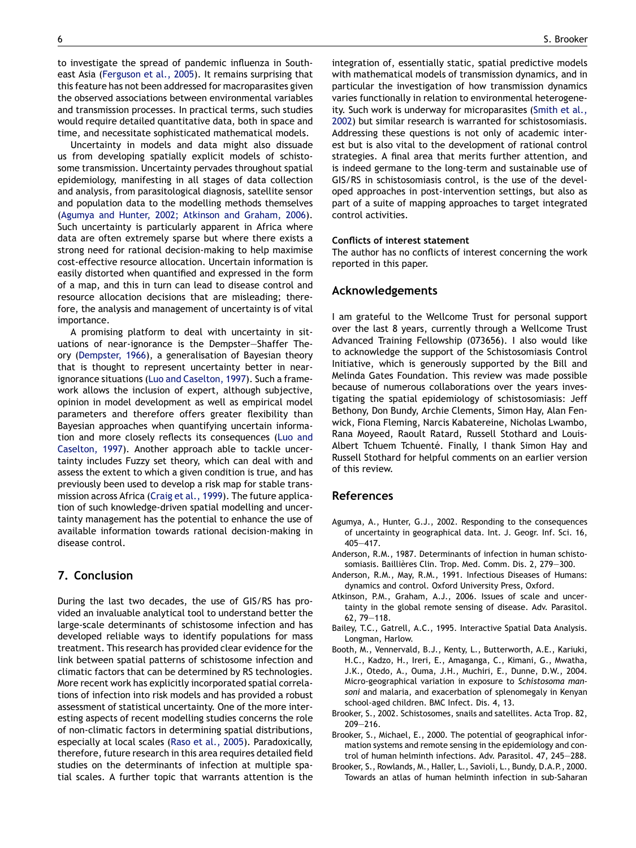to investigate the spread of pandemic influenza in Southeast Asia ([Ferguson et al., 2005\).](#page-6-25) It remains surprising that this feature has not been addressed for macroparasites given the observed associations between environmental variables and transmission processes. In practical terms, such studies would require detailed quantitative data, both in space and time, and necessitate sophisticated mathematical models.

Uncertainty in models and data might also dissuade us from developing spatially explicit models of schistosome transmission. Uncertainty pervades throughout spatial epidemiology, manifesting in all stages of data collection and analysis, from parasitological diagnosis, satellite sensor and population data to the modelling methods themselves [\(Agumya and Hunter, 2002; Atkinson and Graham, 2006\).](#page-5-0) Such uncertainty is particularly apparent in Africa where data are often extremely sparse but where there exists a strong need for rational decision-making to help maximise cost-effective resource allocation. Uncertain information is easily distorted when quantified and expressed in the form of a map, and this in turn can lead to disease control and resource allocation decisions that are misleading; therefore, the analysis and management of uncertainty is of vital importance.

A promising platform to deal with uncertainty in situations of near-ignorance is the Dempster—Shaffer Theory ([Dempster, 1966\),](#page-6-26) a generalisation of Bayesian theory that is thought to represent uncertainty better in nearignorance situations [\(Luo and Caselton, 1997\).](#page-6-27) Such a framework allows the inclusion of expert, although subjective, opinion in model development as well as empirical model parameters and therefore offers greater flexibility than Bayesian approaches when quantifying uncertain information and more closely reflects its consequences [\(Luo and](#page-6-27) [Caselton, 1997\).](#page-6-27) Another approach able to tackle uncertainty includes Fuzzy set theory, which can deal with and assess the extent to which a given condition is true, and has previously been used to develop a risk map for stable transmission across Africa ([Craig et al., 1999\).](#page-6-28) The future application of such knowledge-driven spatial modelling and uncertainty management has the potential to enhance the use of available information towards rational decision-making in disease control.

# <span id="page-5-6"></span><span id="page-5-4"></span><span id="page-5-3"></span><span id="page-5-2"></span><span id="page-5-0"></span>**7. Conclusion**

<span id="page-5-5"></span><span id="page-5-1"></span>During the last two decades, the use of GIS/RS has provided an invaluable analytical tool to understand better the large-scale determinants of schistosome infection and has developed reliable ways to identify populations for mass treatment. This research has provided clear evidence for the link between spatial patterns of schistosome infection and climatic factors that can be determined by RS technologies. More recent work has explicitly incorporated spatial correlations of infection into risk models and has provided a robust assessment of statistical uncertainty. One of the more interesting aspects of recent modelling studies concerns the role of non-climatic factors in determining spatial distributions, especially at local scales ([Raso et al., 2005\).](#page-7-6) Paradoxically, therefore, future research in this area requires detailed field studies on the determinants of infection at multiple spatial scales. A further topic that warrants attention is the

integration of, essentially static, spatial predictive models with mathematical models of transmission dynamics, and in particular the investigation of how transmission dynamics varies functionally in relation to environmental heterogeneity. Such work is underway for microparasites ([Smith et al.,](#page-7-1) [2002\)](#page-7-1) but similar research is warranted for schistosomiasis. Addressing these questions is not only of academic interest but is also vital to the development of rational control strategies. A final area that merits further attention, and is indeed germane to the long-term and sustainable use of GIS/RS in schistosomiasis control, is the use of the developed approaches in post-intervention settings, but also as part of a suite of mapping approaches to target integrated control activities.

#### **Conflicts of interest statement**

The author has no conflicts of interest concerning the work reported in this paper.

#### **Acknowledgements**

I am grateful to the Wellcome Trust for personal support over the last 8 years, currently through a Wellcome Trust Advanced Training Fellowship (073656). I also would like to acknowledge the support of the Schistosomiasis Control Initiative, which is generously supported by the Bill and Melinda Gates Foundation. This review was made possible because of numerous collaborations over the years investigating the spatial epidemiology of schistosomiasis: Jeff Bethony, Don Bundy, Archie Clements, Simon Hay, Alan Fenwick, Fiona Fleming, Narcis Kabatereine, Nicholas Lwambo, Rana Moyeed, Raoult Ratard, Russell Stothard and Louis-Albert Tchuem Tchuenté. Finally, I thank Simon Hay and Russell Stothard for helpful comments on an earlier version of this review.

#### **References**

- Agumya, A., Hunter, G.J., 2002. Responding to the consequences of uncertainty in geographical data. Int. J. Geogr. Inf. Sci. 16, 405—417.
- Anderson, R.M., 1987. Determinants of infection in human schistosomiasis. Baillières Clin. Trop. Med. Comm. Dis. 2, 279-300.
- Anderson, R.M., May, R.M., 1991. Infectious Diseases of Humans: dynamics and control. Oxford University Press, Oxford.
- Atkinson, P.M., Graham, A.J., 2006. Issues of scale and uncertainty in the global remote sensing of disease. Adv. Parasitol. 62, 79—118.
- Bailey, T.C., Gatrell, A.C., 1995. Interactive Spatial Data Analysis. Longman, Harlow.
- Booth, M., Vennervald, B.J., Kenty, L., Butterworth, A.E., Kariuki, H.C., Kadzo, H., Ireri, E., Amaganga, C., Kimani, G., Mwatha, J.K., Otedo, A., Ouma, J.H., Muchiri, E., Dunne, D.W., 2004. Micro-geographical variation in exposure to *Schistosoma mansoni* and malaria, and exacerbation of splenomegaly in Kenyan school-aged children. BMC Infect. Dis. 4, 13.
- Brooker, S., 2002. Schistosomes, snails and satellites. Acta Trop. 82, 209—216.
- Brooker, S., Michael, E., 2000. The potential of geographical information systems and remote sensing in the epidemiology and control of human helminth infections. Adv. Parasitol. 47, 245—288.
- Brooker, S., Rowlands, M., Haller, L., Savioli, L., Bundy, D.A.P., 2000. Towards an atlas of human helminth infection in sub-Saharan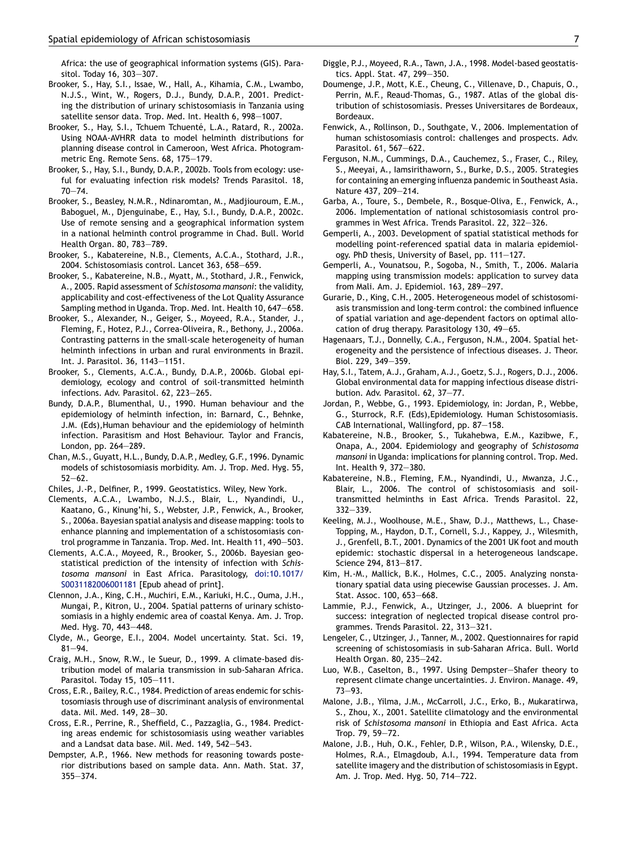<span id="page-6-9"></span><span id="page-6-2"></span>Africa: the use of geographical information systems (GIS). Parasitol. Today 16, 303—307.

- <span id="page-6-25"></span><span id="page-6-24"></span><span id="page-6-5"></span>Brooker, S., Hay, S.I., Issae, W., Hall, A., Kihamia, C.M., Lwambo, N.J.S., Wint, W., Rogers, D.J., Bundy, D.A.P., 2001. Predicting the distribution of urinary schistosomiasis in Tanzania using satellite sensor data. Trop. Med. Int. Health 6, 998—1007.
- <span id="page-6-4"></span>Brooker, S., Hay, S.I., Tchuem Tchuenté, L.A., Ratard, R., 2002a. Using NOAA-AVHRR data to model helminth distributions for planning disease control in Cameroon, West Africa. Photogrammetric Eng. Remote Sens. 68, 175—179.
- <span id="page-6-20"></span>Brooker, S., Hay, S.I., Bundy, D.A.P., 2002b. Tools from ecology: useful for evaluating infection risk models? Trends Parasitol. 18, 70—74.
- <span id="page-6-23"></span><span id="page-6-22"></span><span id="page-6-19"></span>Brooker, S., Beasley, N.M.R., Ndinaromtan, M., Madjiouroum, E.M., Baboguel, M., Djenguinabe, E., Hay, S.I., Bundy, D.A.P., 2002c. Use of remote sensing and a geographical information system in a national helminth control programme in Chad. Bull. World Health Organ. 80, 783—789.
- <span id="page-6-11"></span><span id="page-6-8"></span>Brooker, S., Kabatereine, N.B., Clements, A.C.A., Stothard, J.R., 2004. Schistosomiasis control. Lancet 363, 658—659.
- <span id="page-6-10"></span>Brooker, S., Kabatereine, N.B., Myatt, M., Stothard, J.R., Fenwick, A., 2005. Rapid assessment of *Schistosoma mansoni*: the validity, applicability and cost-effectiveness of the Lot Quality Assurance Sampling method in Uganda. Trop. Med. Int. Health 10, 647—658.
- <span id="page-6-12"></span><span id="page-6-0"></span>Brooker, S., Alexander, N., Geiger, S., Moyeed, R.A., Stander, J., Fleming, F., Hotez, P.J., Correa-Oliveira, R., Bethony, J., 2006a. Contrasting patterns in the small-scale heterogeneity of human helminth infections in urban and rural environments in Brazil. Int. J. Parasitol. 36, 1143—1151.
- <span id="page-6-3"></span>Brooker, S., Clements, A.C.A., Bundy, D.A.P., 2006b. Global epidemiology, ecology and control of soil-transmitted helminth infections. Adv. Parasitol. 62, 223—265.
- <span id="page-6-18"></span><span id="page-6-6"></span>Bundy, D.A.P., Blumenthal, U., 1990. Human behaviour and the epidemiology of helminth infection, in: Barnard, C., Behnke, J.M. (Eds),Human behaviour and the epidemiology of helminth infection. Parasitism and Host Behaviour. Taylor and Francis, London, pp. 264—289.
- <span id="page-6-21"></span><span id="page-6-16"></span>Chan, M.S., Guyatt, H.L., Bundy, D.A.P., Medley, G.F., 1996. Dynamic models of schistosomiasis morbidity. Am. J. Trop. Med. Hyg. 55, 52—62.
- <span id="page-6-17"></span>Chiles, J.-P., Delfiner, P., 1999. Geostatistics. Wiley, New York.
- Clements, A.C.A., Lwambo, N.J.S., Blair, L., Nyandindi, U., Kaatano, G., Kinung'hi, S., Webster, J.P., Fenwick, A., Brooker, S., 2006a. Bayesian spatial analysis and disease mapping: tools to enhance planning and implementation of a schistosomiasis control programme in Tanzania. Trop. Med. Int. Health 11, 490—503.
- <span id="page-6-15"></span><span id="page-6-14"></span><span id="page-6-7"></span>Clements, A.C.A., Moyeed, R., Brooker, S., 2006b. Bayesian geostatistical prediction of the intensity of infection with *Schistosoma mansoni* in East Africa. Parasitology, [doi:10.1017/](http://dx.doi.org/10.1017/S0031182006001181) [S0031182006001181](http://dx.doi.org/10.1017/S0031182006001181) [Epub ahead of print].
- <span id="page-6-28"></span><span id="page-6-27"></span>Clennon, J.A., King, C.H., Muchiri, E.M., Kariuki, H.C., Ouma, J.H., Mungai, P., Kitron, U., 2004. Spatial patterns of urinary schistosomiasis in a highly endemic area of coastal Kenya. Am. J. Trop. Med. Hyg. 70, 443—448.
- <span id="page-6-13"></span><span id="page-6-1"></span>Clyde, M., George, E.I., 2004. Model uncertainty. Stat. Sci. 19, 81—94.
- Craig, M.H., Snow, R.W., le Sueur, D., 1999. A climate-based distribution model of malaria transmission in sub-Saharan Africa. Parasitol. Today 15, 105—111.
- <span id="page-6-26"></span>Cross, E.R., Bailey, R.C., 1984. Prediction of areas endemic for schistosomiasis through use of discriminant analysis of environmental data. Mil. Med. 149, 28—30.
- Cross, E.R., Perrine, R., Sheffield, C., Pazzaglia, G., 1984. Predicting areas endemic for schistosomiasis using weather variables and a Landsat data base. Mil. Med. 149, 542—543.
- Dempster, A.P., 1966. New methods for reasoning towards posterior distributions based on sample data. Ann. Math. Stat. 37, 355—374.
- Diggle, P.J., Moyeed, R.A., Tawn, J.A., 1998. Model-based geostatistics. Appl. Stat. 47, 299—350.
- Doumenge, J.P., Mott, K.E., Cheung, C., Villenave, D., Chapuis, O., Perrin, M.F., Reaud-Thomas, G., 1987. Atlas of the global distribution of schistosomiasis. Presses Universitares de Bordeaux, Bordeaux.
- Fenwick, A., Rollinson, D., Southgate, V., 2006. Implementation of human schistosomiasis control: challenges and prospects. Adv. Parasitol. 61, 567—622.
- Ferguson, N.M., Cummings, D.A., Cauchemez, S., Fraser, C., Riley, S., Meeyai, A., Iamsirithaworn, S., Burke, D.S., 2005. Strategies for containing an emerging influenza pandemic in Southeast Asia. Nature 437, 209—214.
- Garba, A., Toure, S., Dembele, R., Bosque-Oliva, E., Fenwick, A., 2006. Implementation of national schistosomiasis control programmes in West Africa. Trends Parasitol. 22, 322—326.
- Gemperli, A., 2003. Development of spatial statistical methods for modelling point-referenced spatial data in malaria epidemiology. PhD thesis, University of Basel, pp. 111—127.
- Gemperli, A., Vounatsou, P., Sogoba, N., Smith, T., 2006. Malaria mapping using transmission models: application to survey data from Mali. Am. J. Epidemiol. 163, 289—297.
- Gurarie, D., King, C.H., 2005. Heterogeneous model of schistosomiasis transmission and long-term control: the combined influence of spatial variation and age-dependent factors on optimal allocation of drug therapy. Parasitology 130, 49—65.
- Hagenaars, T.J., Donnelly, C.A., Ferguson, N.M., 2004. Spatial heterogeneity and the persistence of infectious diseases. J. Theor. Biol. 229, 349—359.
- Hay, S.I., Tatem, A.J., Graham, A.J., Goetz, S.J., Rogers, D.J., 2006. Global environmental data for mapping infectious disease distribution. Adv. Parasitol. 62, 37—77.
- Jordan, P., Webbe, G., 1993. Epidemiology, in: Jordan, P., Webbe, G., Sturrock, R.F. (Eds),Epidemiology. Human Schistosomiasis. CAB International, Wallingford, pp. 87—158.
- Kabatereine, N.B., Brooker, S., Tukahebwa, E.M., Kazibwe, F., Onapa, A., 2004. Epidemiology and geography of *Schistosoma mansoni* in Uganda: implications for planning control. Trop. Med. Int. Health 9, 372—380.
- Kabatereine, N.B., Fleming, F.M., Nyandindi, U., Mwanza, J.C., Blair, L., 2006. The control of schistosomiasis and soiltransmitted helminths in East Africa. Trends Parasitol. 22, 332—339.
- Keeling, M.J., Woolhouse, M.E., Shaw, D.J., Matthews, L., Chase-Topping, M., Haydon, D.T., Cornell, S.J., Kappey, J., Wilesmith, J., Grenfell, B.T., 2001. Dynamics of the 2001 UK foot and mouth epidemic: stochastic dispersal in a heterogeneous landscape. Science 294, 813—817.
- Kim, H.-M., Mallick, B.K., Holmes, C.C., 2005. Analyzing nonstationary spatial data using piecewise Gaussian processes. J. Am. Stat. Assoc. 100, 653—668.
- Lammie, P.J., Fenwick, A., Utzinger, J., 2006. A blueprint for success: integration of neglected tropical disease control programmes. Trends Parasitol. 22, 313—321.
- Lengeler, C., Utzinger, J., Tanner, M., 2002. Questionnaires for rapid screening of schistosomiasis in sub-Saharan Africa. Bull. World Health Organ. 80, 235—242.
- Luo, W.B., Caselton, B., 1997. Using Dempster—Shafer theory to represent climate change uncertainties. J. Environ. Manage. 49, 73—93.
- Malone, J.B., Yilma, J.M., McCarroll, J.C., Erko, B., Mukaratirwa, S., Zhou, X., 2001. Satellite climatology and the environmental risk of *Schistosoma mansoni* in Ethiopia and East Africa. Acta Trop. 79, 59—72.
- Malone, J.B., Huh, O.K., Fehler, D.P., Wilson, P.A., Wilensky, D.E., Holmes, R.A., Elmagdoub, A.I., 1994. Temperature data from satellite imagery and the distribution of schistosomiasis in Egypt. Am. J. Trop. Med. Hyg. 50, 714—722.